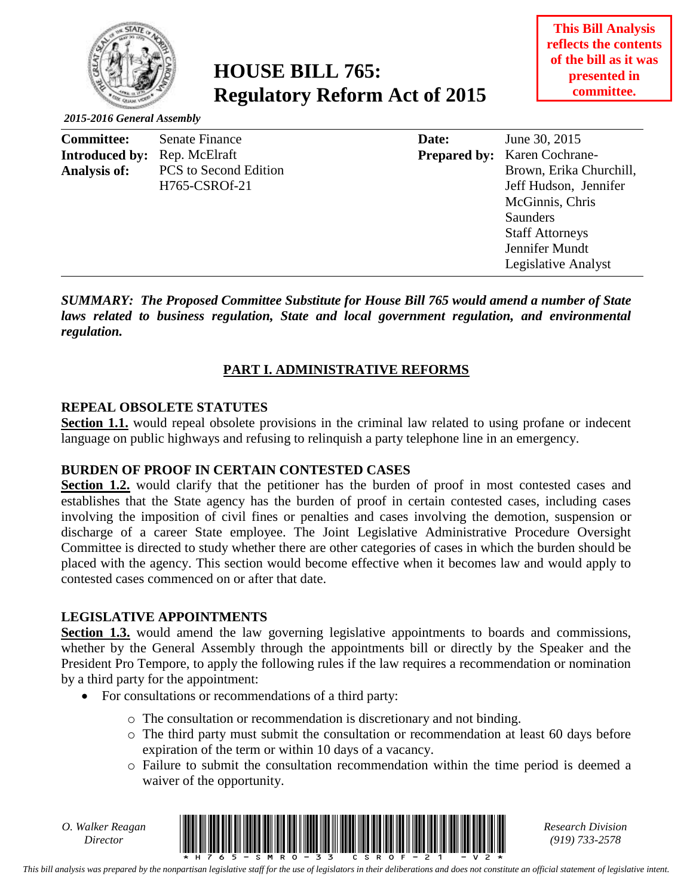

# **HOUSE BILL 765: Regulatory Reform Act of 2015**

#### *2015-2016 General Assembly*

| <b>Committee:</b>     | Senate Finance               | Date: | June 30, 2015                       |
|-----------------------|------------------------------|-------|-------------------------------------|
| <b>Introduced by:</b> | Rep. McElraft                |       | <b>Prepared by:</b> Karen Cochrane- |
| Analysis of:          | <b>PCS</b> to Second Edition |       | Brown, Erika Churchill,             |
|                       | H765-CSROf-21                |       | Jeff Hudson, Jennifer               |
|                       |                              |       | McGinnis, Chris                     |
|                       |                              |       | <b>Saunders</b>                     |
|                       |                              |       | <b>Staff Attorneys</b>              |
|                       |                              |       | Jennifer Mundt                      |
|                       |                              |       | Legislative Analyst                 |
|                       |                              |       |                                     |

*SUMMARY: The Proposed Committee Substitute for House Bill 765 would amend a number of State laws related to business regulation, State and local government regulation, and environmental regulation.*

#### **PART I. ADMINISTRATIVE REFORMS**

#### **REPEAL OBSOLETE STATUTES**

**Section 1.1.** would repeal obsolete provisions in the criminal law related to using profane or indecent language on public highways and refusing to relinquish a party telephone line in an emergency.

#### **BURDEN OF PROOF IN CERTAIN CONTESTED CASES**

Section 1.2. would clarify that the petitioner has the burden of proof in most contested cases and establishes that the State agency has the burden of proof in certain contested cases, including cases involving the imposition of civil fines or penalties and cases involving the demotion, suspension or discharge of a career State employee. The Joint Legislative Administrative Procedure Oversight Committee is directed to study whether there are other categories of cases in which the burden should be placed with the agency. This section would become effective when it becomes law and would apply to contested cases commenced on or after that date.

#### **LEGISLATIVE APPOINTMENTS**

**Section 1.3.** would amend the law governing legislative appointments to boards and commissions, whether by the General Assembly through the appointments bill or directly by the Speaker and the President Pro Tempore, to apply the following rules if the law requires a recommendation or nomination by a third party for the appointment:

- For consultations or recommendations of a third party:
	- o The consultation or recommendation is discretionary and not binding.
	- o The third party must submit the consultation or recommendation at least 60 days before expiration of the term or within 10 days of a vacancy.
	- o Failure to submit the consultation recommendation within the time period is deemed a waiver of the opportunity.

*O. Walker Reagan*



*(919) 733-2578*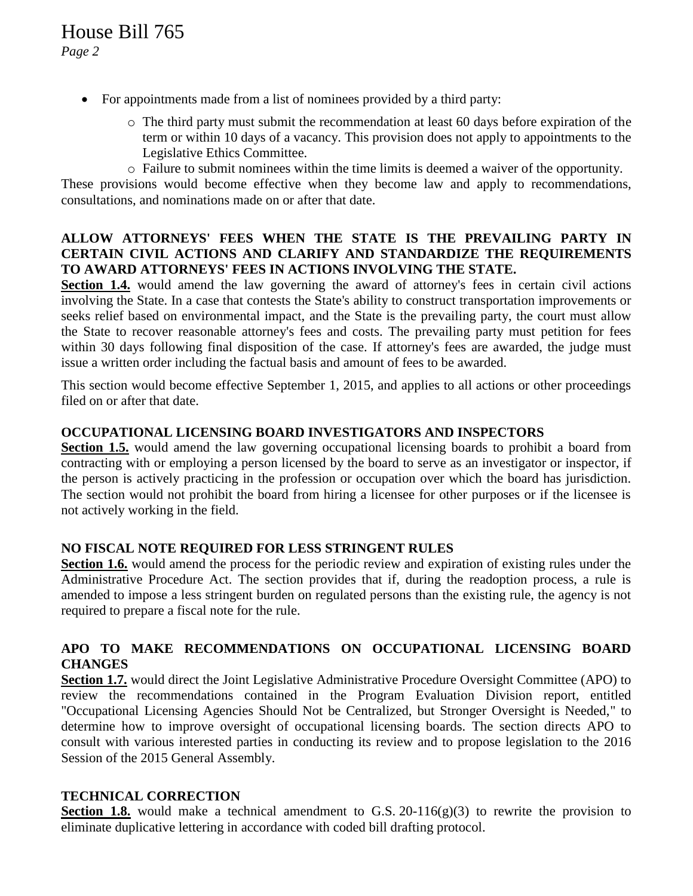- For appointments made from a list of nominees provided by a third party:
	- $\circ$  The third party must submit the recommendation at least 60 days before expiration of the term or within 10 days of a vacancy. This provision does not apply to appointments to the Legislative Ethics Committee.
	- o Failure to submit nominees within the time limits is deemed a waiver of the opportunity.

These provisions would become effective when they become law and apply to recommendations, consultations, and nominations made on or after that date.

#### **ALLOW ATTORNEYS' FEES WHEN THE STATE IS THE PREVAILING PARTY IN CERTAIN CIVIL ACTIONS AND CLARIFY AND STANDARDIZE THE REQUIREMENTS TO AWARD ATTORNEYS' FEES IN ACTIONS INVOLVING THE STATE.**

**Section 1.4.** would amend the law governing the award of attorney's fees in certain civil actions involving the State. In a case that contests the State's ability to construct transportation improvements or seeks relief based on environmental impact, and the State is the prevailing party, the court must allow the State to recover reasonable attorney's fees and costs. The prevailing party must petition for fees within 30 days following final disposition of the case. If attorney's fees are awarded, the judge must issue a written order including the factual basis and amount of fees to be awarded.

This section would become effective September 1, 2015, and applies to all actions or other proceedings filed on or after that date.

#### **OCCUPATIONAL LICENSING BOARD INVESTIGATORS AND INSPECTORS**

**Section 1.5.** would amend the law governing occupational licensing boards to prohibit a board from contracting with or employing a person licensed by the board to serve as an investigator or inspector, if the person is actively practicing in the profession or occupation over which the board has jurisdiction. The section would not prohibit the board from hiring a licensee for other purposes or if the licensee is not actively working in the field.

#### **NO FISCAL NOTE REQUIRED FOR LESS STRINGENT RULES**

**Section 1.6.** would amend the process for the periodic review and expiration of existing rules under the Administrative Procedure Act. The section provides that if, during the readoption process, a rule is amended to impose a less stringent burden on regulated persons than the existing rule, the agency is not required to prepare a fiscal note for the rule.

#### **APO TO MAKE RECOMMENDATIONS ON OCCUPATIONAL LICENSING BOARD CHANGES**

**Section 1.7.** would direct the Joint Legislative Administrative Procedure Oversight Committee (APO) to review the recommendations contained in the Program Evaluation Division report, entitled "Occupational Licensing Agencies Should Not be Centralized, but Stronger Oversight is Needed," to determine how to improve oversight of occupational licensing boards. The section directs APO to consult with various interested parties in conducting its review and to propose legislation to the 2016 Session of the 2015 General Assembly.

#### **TECHNICAL CORRECTION**

**Section 1.8.** would make a technical amendment to G.S. 20-116 $(g)(3)$  to rewrite the provision to eliminate duplicative lettering in accordance with coded bill drafting protocol.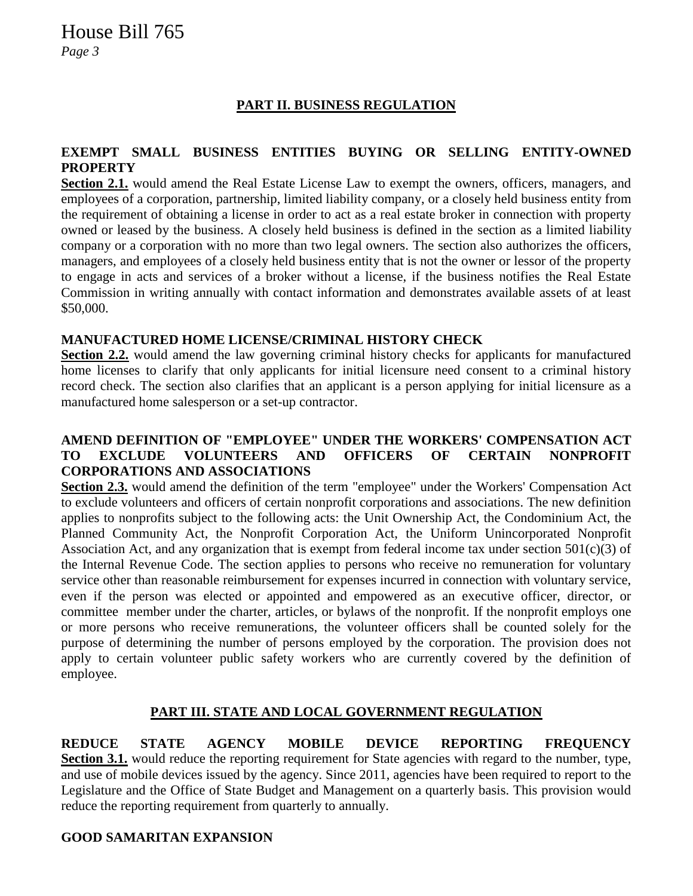## **PART II. BUSINESS REGULATION**

#### **EXEMPT SMALL BUSINESS ENTITIES BUYING OR SELLING ENTITY-OWNED PROPERTY**

**Section 2.1.** would amend the Real Estate License Law to exempt the owners, officers, managers, and employees of a corporation, partnership, limited liability company, or a closely held business entity from the requirement of obtaining a license in order to act as a real estate broker in connection with property owned or leased by the business. A closely held business is defined in the section as a limited liability company or a corporation with no more than two legal owners. The section also authorizes the officers, managers, and employees of a closely held business entity that is not the owner or lessor of the property to engage in acts and services of a broker without a license, if the business notifies the Real Estate Commission in writing annually with contact information and demonstrates available assets of at least \$50,000.

#### **MANUFACTURED HOME LICENSE/CRIMINAL HISTORY CHECK**

**Section 2.2.** would amend the law governing criminal history checks for applicants for manufactured home licenses to clarify that only applicants for initial licensure need consent to a criminal history record check. The section also clarifies that an applicant is a person applying for initial licensure as a manufactured home salesperson or a set-up contractor.

#### **AMEND DEFINITION OF "EMPLOYEE" UNDER THE WORKERS' COMPENSATION ACT TO EXCLUDE VOLUNTEERS AND OFFICERS OF CERTAIN NONPROFIT CORPORATIONS AND ASSOCIATIONS**

**Section 2.3.** would amend the definition of the term "employee" under the Workers' Compensation Act to exclude volunteers and officers of certain nonprofit corporations and associations. The new definition applies to nonprofits subject to the following acts: the Unit Ownership Act, the Condominium Act, the Planned Community Act, the Nonprofit Corporation Act, the Uniform Unincorporated Nonprofit Association Act, and any organization that is exempt from federal income tax under section  $501(c)(3)$  of the Internal Revenue Code. The section applies to persons who receive no remuneration for voluntary service other than reasonable reimbursement for expenses incurred in connection with voluntary service, even if the person was elected or appointed and empowered as an executive officer, director, or committee member under the charter, articles, or bylaws of the nonprofit. If the nonprofit employs one or more persons who receive remunerations, the volunteer officers shall be counted solely for the purpose of determining the number of persons employed by the corporation. The provision does not apply to certain volunteer public safety workers who are currently covered by the definition of employee.

#### **PART III. STATE AND LOCAL GOVERNMENT REGULATION**

**REDUCE STATE AGENCY MOBILE DEVICE REPORTING FREQUENCY Section 3.1.** would reduce the reporting requirement for State agencies with regard to the number, type, and use of mobile devices issued by the agency. Since 2011, agencies have been required to report to the Legislature and the Office of State Budget and Management on a quarterly basis. This provision would reduce the reporting requirement from quarterly to annually.

#### **GOOD SAMARITAN EXPANSION**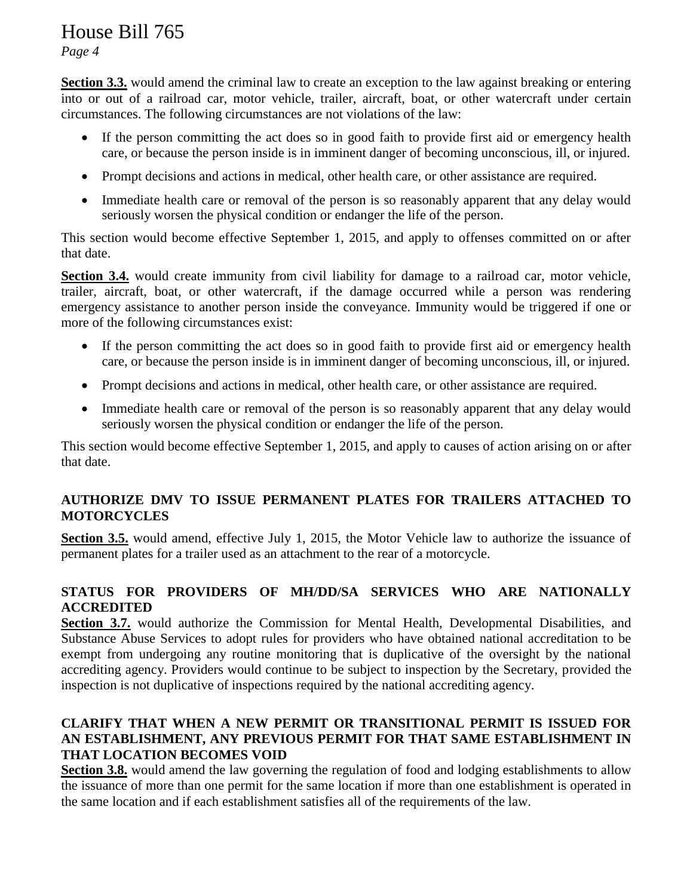*Page 4*

**Section 3.3.** would amend the criminal law to create an exception to the law against breaking or entering into or out of a railroad car, motor vehicle, trailer, aircraft, boat, or other watercraft under certain circumstances. The following circumstances are not violations of the law:

- If the person committing the act does so in good faith to provide first aid or emergency health care, or because the person inside is in imminent danger of becoming unconscious, ill, or injured.
- Prompt decisions and actions in medical, other health care, or other assistance are required.
- Immediate health care or removal of the person is so reasonably apparent that any delay would seriously worsen the physical condition or endanger the life of the person.

This section would become effective September 1, 2015, and apply to offenses committed on or after that date.

**Section 3.4.** would create immunity from civil liability for damage to a railroad car, motor vehicle, trailer, aircraft, boat, or other watercraft, if the damage occurred while a person was rendering emergency assistance to another person inside the conveyance. Immunity would be triggered if one or more of the following circumstances exist:

- If the person committing the act does so in good faith to provide first aid or emergency health care, or because the person inside is in imminent danger of becoming unconscious, ill, or injured.
- Prompt decisions and actions in medical, other health care, or other assistance are required.
- Immediate health care or removal of the person is so reasonably apparent that any delay would seriously worsen the physical condition or endanger the life of the person.

This section would become effective September 1, 2015, and apply to causes of action arising on or after that date.

## **AUTHORIZE DMV TO ISSUE PERMANENT PLATES FOR TRAILERS ATTACHED TO MOTORCYCLES**

**Section 3.5.** would amend, effective July 1, 2015, the Motor Vehicle law to authorize the issuance of permanent plates for a trailer used as an attachment to the rear of a motorcycle.

## **STATUS FOR PROVIDERS OF MH/DD/SA SERVICES WHO ARE NATIONALLY ACCREDITED**

**Section 3.7.** would authorize the Commission for Mental Health, Developmental Disabilities, and Substance Abuse Services to adopt rules for providers who have obtained national accreditation to be exempt from undergoing any routine monitoring that is duplicative of the oversight by the national accrediting agency. Providers would continue to be subject to inspection by the Secretary, provided the inspection is not duplicative of inspections required by the national accrediting agency.

## **CLARIFY THAT WHEN A NEW PERMIT OR TRANSITIONAL PERMIT IS ISSUED FOR AN ESTABLISHMENT, ANY PREVIOUS PERMIT FOR THAT SAME ESTABLISHMENT IN THAT LOCATION BECOMES VOID**

**Section 3.8.** would amend the law governing the regulation of food and lodging establishments to allow the issuance of more than one permit for the same location if more than one establishment is operated in the same location and if each establishment satisfies all of the requirements of the law.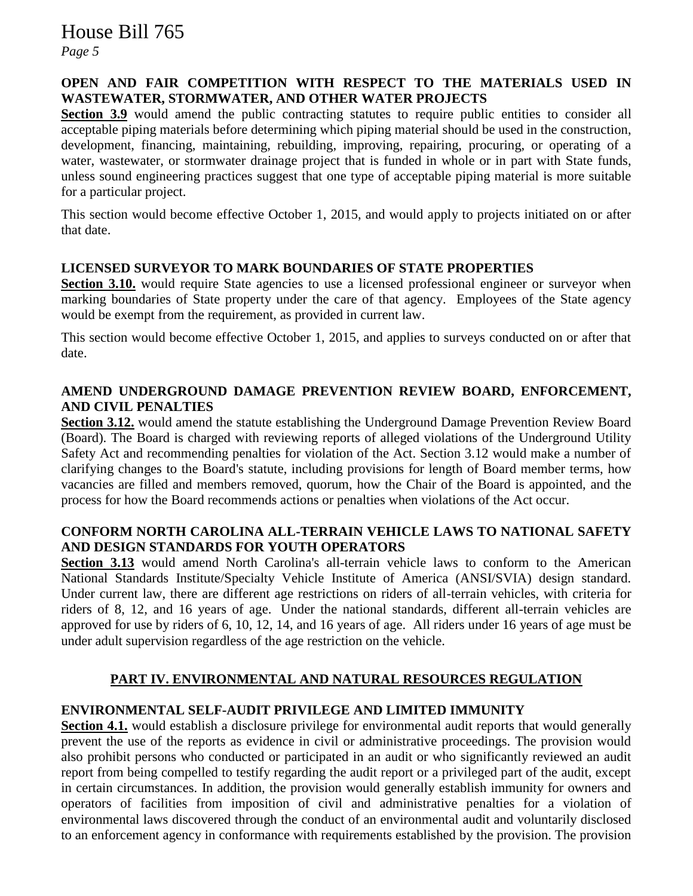## *Page 5*

#### **OPEN AND FAIR COMPETITION WITH RESPECT TO THE MATERIALS USED IN WASTEWATER, STORMWATER, AND OTHER WATER PROJECTS**

**Section 3.9** would amend the public contracting statutes to require public entities to consider all acceptable piping materials before determining which piping material should be used in the construction, development, financing, maintaining, rebuilding, improving, repairing, procuring, or operating of a water, wastewater, or stormwater drainage project that is funded in whole or in part with State funds, unless sound engineering practices suggest that one type of acceptable piping material is more suitable for a particular project.

This section would become effective October 1, 2015, and would apply to projects initiated on or after that date.

#### **LICENSED SURVEYOR TO MARK BOUNDARIES OF STATE PROPERTIES**

**Section 3.10.** would require State agencies to use a licensed professional engineer or surveyor when marking boundaries of State property under the care of that agency. Employees of the State agency would be exempt from the requirement, as provided in current law.

This section would become effective October 1, 2015, and applies to surveys conducted on or after that date.

#### **AMEND UNDERGROUND DAMAGE PREVENTION REVIEW BOARD, ENFORCEMENT, AND CIVIL PENALTIES**

**Section 3.12.** would amend the statute establishing the Underground Damage Prevention Review Board (Board). The Board is charged with reviewing reports of alleged violations of the Underground Utility Safety Act and recommending penalties for violation of the Act. Section 3.12 would make a number of clarifying changes to the Board's statute, including provisions for length of Board member terms, how vacancies are filled and members removed, quorum, how the Chair of the Board is appointed, and the process for how the Board recommends actions or penalties when violations of the Act occur.

#### **CONFORM NORTH CAROLINA ALL-TERRAIN VEHICLE LAWS TO NATIONAL SAFETY AND DESIGN STANDARDS FOR YOUTH OPERATORS**

**Section 3.13** would amend North Carolina's all-terrain vehicle laws to conform to the American National Standards Institute/Specialty Vehicle Institute of America (ANSI/SVIA) design standard. Under current law, there are different age restrictions on riders of all-terrain vehicles, with criteria for riders of 8, 12, and 16 years of age. Under the national standards, different all-terrain vehicles are approved for use by riders of 6, 10, 12, 14, and 16 years of age. All riders under 16 years of age must be under adult supervision regardless of the age restriction on the vehicle.

#### **PART IV. ENVIRONMENTAL AND NATURAL RESOURCES REGULATION**

#### **ENVIRONMENTAL SELF-AUDIT PRIVILEGE AND LIMITED IMMUNITY**

**Section 4.1.** would establish a disclosure privilege for environmental audit reports that would generally prevent the use of the reports as evidence in civil or administrative proceedings. The provision would also prohibit persons who conducted or participated in an audit or who significantly reviewed an audit report from being compelled to testify regarding the audit report or a privileged part of the audit, except in certain circumstances. In addition, the provision would generally establish immunity for owners and operators of facilities from imposition of civil and administrative penalties for a violation of environmental laws discovered through the conduct of an environmental audit and voluntarily disclosed to an enforcement agency in conformance with requirements established by the provision. The provision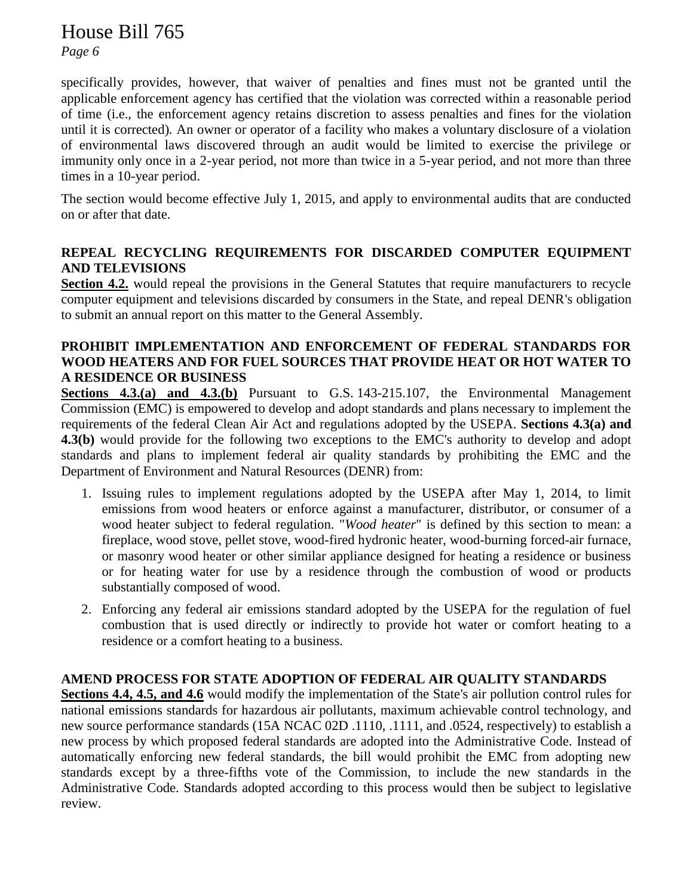*Page 6*

specifically provides, however, that waiver of penalties and fines must not be granted until the applicable enforcement agency has certified that the violation was corrected within a reasonable period of time (i.e., the enforcement agency retains discretion to assess penalties and fines for the violation until it is corrected)*.* An owner or operator of a facility who makes a voluntary disclosure of a violation of environmental laws discovered through an audit would be limited to exercise the privilege or immunity only once in a 2-year period, not more than twice in a 5-year period, and not more than three times in a 10-year period.

The section would become effective July 1, 2015, and apply to environmental audits that are conducted on or after that date.

## **REPEAL RECYCLING REQUIREMENTS FOR DISCARDED COMPUTER EQUIPMENT AND TELEVISIONS**

**Section 4.2.** would repeal the provisions in the General Statutes that require manufacturers to recycle computer equipment and televisions discarded by consumers in the State, and repeal DENR's obligation to submit an annual report on this matter to the General Assembly.

#### **PROHIBIT IMPLEMENTATION AND ENFORCEMENT OF FEDERAL STANDARDS FOR WOOD HEATERS AND FOR FUEL SOURCES THAT PROVIDE HEAT OR HOT WATER TO A RESIDENCE OR BUSINESS**

**Sections 4.3.(a) and 4.3.(b)** Pursuant to G.S. 143-215.107, the Environmental Management Commission (EMC) is empowered to develop and adopt standards and plans necessary to implement the requirements of the federal Clean Air Act and regulations adopted by the USEPA. **Sections 4.3(a) and 4.3(b)** would provide for the following two exceptions to the EMC's authority to develop and adopt standards and plans to implement federal air quality standards by prohibiting the EMC and the Department of Environment and Natural Resources (DENR) from:

- 1. Issuing rules to implement regulations adopted by the USEPA after May 1, 2014, to limit emissions from wood heaters or enforce against a manufacturer, distributor, or consumer of a wood heater subject to federal regulation. "*Wood heater*" is defined by this section to mean: a fireplace, wood stove, pellet stove, wood-fired hydronic heater, wood-burning forced-air furnace, or masonry wood heater or other similar appliance designed for heating a residence or business or for heating water for use by a residence through the combustion of wood or products substantially composed of wood.
- 2. Enforcing any federal air emissions standard adopted by the USEPA for the regulation of fuel combustion that is used directly or indirectly to provide hot water or comfort heating to a residence or a comfort heating to a business.

#### **AMEND PROCESS FOR STATE ADOPTION OF FEDERAL AIR QUALITY STANDARDS**

**Sections 4.4, 4.5, and 4.6** would modify the implementation of the State's air pollution control rules for national emissions standards for hazardous air pollutants, maximum achievable control technology, and new source performance standards (15A NCAC 02D .1110, .1111, and .0524, respectively) to establish a new process by which proposed federal standards are adopted into the Administrative Code. Instead of automatically enforcing new federal standards, the bill would prohibit the EMC from adopting new standards except by a three-fifths vote of the Commission, to include the new standards in the Administrative Code. Standards adopted according to this process would then be subject to legislative review.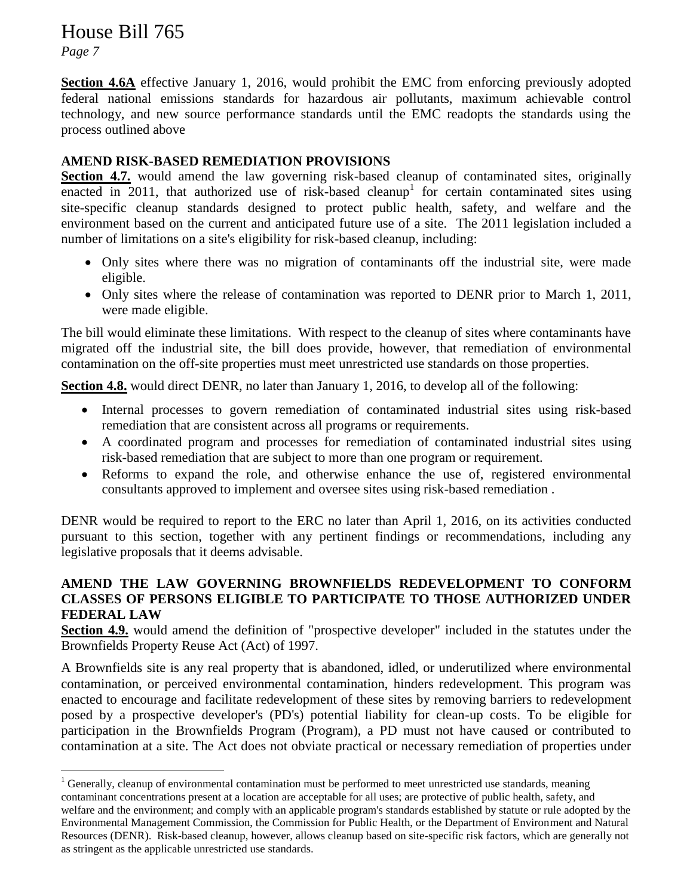*Page 7*

 $\overline{a}$ 

**Section 4.6A** effective January 1, 2016, would prohibit the EMC from enforcing previously adopted federal national emissions standards for hazardous air pollutants, maximum achievable control technology, and new source performance standards until the EMC readopts the standards using the process outlined above

## **AMEND RISK-BASED REMEDIATION PROVISIONS**

**Section 4.7.** would amend the law governing risk-based cleanup of contaminated sites, originally enacted in 2011, that authorized use of risk-based cleanup<sup>1</sup> for certain contaminated sites using site-specific cleanup standards designed to protect public health, safety, and welfare and the environment based on the current and anticipated future use of a site. The 2011 legislation included a number of limitations on a site's eligibility for risk-based cleanup, including:

- Only sites where there was no migration of contaminants off the industrial site, were made eligible.
- Only sites where the release of contamination was reported to DENR prior to March 1, 2011, were made eligible.

The bill would eliminate these limitations. With respect to the cleanup of sites where contaminants have migrated off the industrial site, the bill does provide, however, that remediation of environmental contamination on the off-site properties must meet unrestricted use standards on those properties.

**Section 4.8.** would direct DENR, no later than January 1, 2016, to develop all of the following:

- Internal processes to govern remediation of contaminated industrial sites using risk-based remediation that are consistent across all programs or requirements.
- A coordinated program and processes for remediation of contaminated industrial sites using risk-based remediation that are subject to more than one program or requirement.
- Reforms to expand the role, and otherwise enhance the use of, registered environmental consultants approved to implement and oversee sites using risk-based remediation .

DENR would be required to report to the ERC no later than April 1, 2016, on its activities conducted pursuant to this section, together with any pertinent findings or recommendations, including any legislative proposals that it deems advisable.

### **AMEND THE LAW GOVERNING BROWNFIELDS REDEVELOPMENT TO CONFORM CLASSES OF PERSONS ELIGIBLE TO PARTICIPATE TO THOSE AUTHORIZED UNDER FEDERAL LAW**

**Section 4.9.** would amend the definition of "prospective developer" included in the statutes under the Brownfields Property Reuse Act (Act) of 1997.

A Brownfields site is any real property that is abandoned, idled, or underutilized where environmental contamination, or perceived environmental contamination, hinders redevelopment. This program was enacted to encourage and facilitate redevelopment of these sites by removing barriers to redevelopment posed by a prospective developer's (PD's) potential liability for clean-up costs. To be eligible for participation in the Brownfields Program (Program), a PD must not have caused or contributed to contamination at a site. The Act does not obviate practical or necessary remediation of properties under

 $1$  Generally, cleanup of environmental contamination must be performed to meet unrestricted use standards, meaning contaminant concentrations present at a location are acceptable for all uses; are protective of public health, safety, and welfare and the environment; and comply with an applicable program's standards established by statute or rule adopted by the Environmental Management Commission, the Commission for Public Health, or the Department of Environment and Natural Resources (DENR). Risk-based cleanup, however, allows cleanup based on site-specific risk factors, which are generally not as stringent as the applicable unrestricted use standards.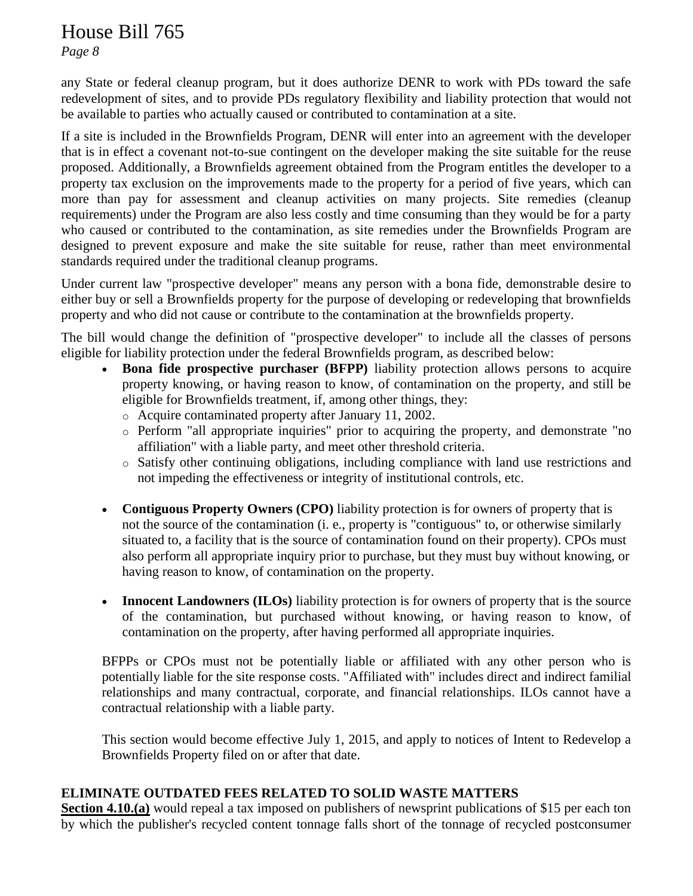*Page 8*

any State or federal cleanup program, but it does authorize DENR to work with PDs toward the safe redevelopment of sites, and to provide PDs regulatory flexibility and liability protection that would not be available to parties who actually caused or contributed to contamination at a site.

If a site is included in the Brownfields Program, DENR will enter into an agreement with the developer that is in effect a covenant not-to-sue contingent on the developer making the site suitable for the reuse proposed. Additionally, a Brownfields agreement obtained from the Program entitles the developer to a property tax exclusion on the improvements made to the property for a period of five years, which can more than pay for assessment and cleanup activities on many projects. Site remedies (cleanup requirements) under the Program are also less costly and time consuming than they would be for a party who caused or contributed to the contamination, as site remedies under the Brownfields Program are designed to prevent exposure and make the site suitable for reuse, rather than meet environmental standards required under the traditional cleanup programs.

Under current law "prospective developer" means any person with a bona fide, demonstrable desire to either buy or sell a Brownfields property for the purpose of developing or redeveloping that brownfields property and who did not cause or contribute to the contamination at the brownfields property.

The bill would change the definition of "prospective developer" to include all the classes of persons eligible for liability protection under the federal Brownfields program, as described below:

- **Bona fide prospective purchaser (BFPP)** liability protection allows persons to acquire property knowing, or having reason to know, of contamination on the property, and still be eligible for Brownfields treatment, if, among other things, they:
	- o Acquire contaminated property after January 11, 2002.
	- o Perform "all appropriate inquiries" prior to acquiring the property, and demonstrate "no affiliation" with a liable party, and meet other threshold criteria.
	- o Satisfy other continuing obligations, including compliance with land use restrictions and not impeding the effectiveness or integrity of institutional controls, etc.
- **Contiguous Property Owners (CPO)** liability protection is for owners of property that is not the source of the contamination (i. e., property is "contiguous" to, or otherwise similarly situated to, a facility that is the source of contamination found on their property). CPOs must also perform all appropriate inquiry prior to purchase, but they must buy without knowing, or having reason to know, of contamination on the property.
- **Innocent Landowners (ILOs)** liability protection is for owners of property that is the source of the contamination, but purchased without knowing, or having reason to know, of contamination on the property, after having performed all appropriate inquiries.

BFPPs or CPOs must not be potentially liable or affiliated with any other person who is potentially liable for the site response costs. "Affiliated with" includes direct and indirect familial relationships and many contractual, corporate, and financial relationships. ILOs cannot have a contractual relationship with a liable party.

This section would become effective July 1, 2015, and apply to notices of Intent to Redevelop a Brownfields Property filed on or after that date.

# **ELIMINATE OUTDATED FEES RELATED TO SOLID WASTE MATTERS**

**Section 4.10.(a)** would repeal a tax imposed on publishers of newsprint publications of \$15 per each ton by which the publisher's recycled content tonnage falls short of the tonnage of recycled postconsumer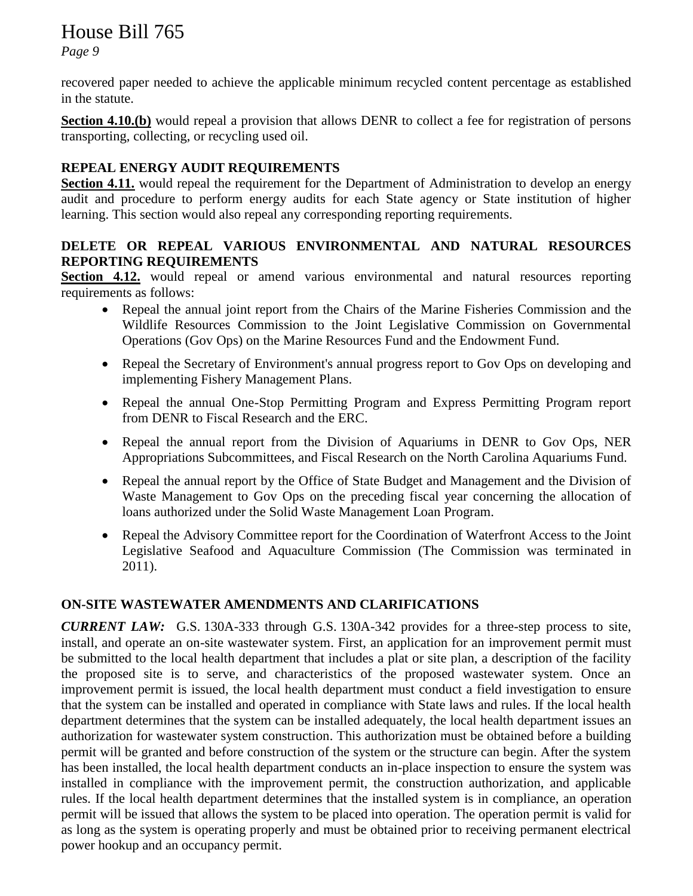*Page 9*

recovered paper needed to achieve the applicable minimum recycled content percentage as established in the statute.

**Section 4.10.(b)** would repeal a provision that allows DENR to collect a fee for registration of persons transporting, collecting, or recycling used oil.

# **REPEAL ENERGY AUDIT REQUIREMENTS**

**Section 4.11.** would repeal the requirement for the Department of Administration to develop an energy audit and procedure to perform energy audits for each State agency or State institution of higher learning. This section would also repeal any corresponding reporting requirements.

#### **DELETE OR REPEAL VARIOUS ENVIRONMENTAL AND NATURAL RESOURCES REPORTING REQUIREMENTS**

**Section 4.12.** would repeal or amend various environmental and natural resources reporting requirements as follows:

- Repeal the annual joint report from the Chairs of the Marine Fisheries Commission and the Wildlife Resources Commission to the Joint Legislative Commission on Governmental Operations (Gov Ops) on the Marine Resources Fund and the Endowment Fund.
- Repeal the Secretary of Environment's annual progress report to Gov Ops on developing and implementing Fishery Management Plans.
- Repeal the annual One-Stop Permitting Program and Express Permitting Program report from DENR to Fiscal Research and the ERC.
- Repeal the annual report from the Division of Aquariums in DENR to Gov Ops, NER Appropriations Subcommittees, and Fiscal Research on the North Carolina Aquariums Fund.
- Repeal the annual report by the Office of State Budget and Management and the Division of Waste Management to Gov Ops on the preceding fiscal year concerning the allocation of loans authorized under the Solid Waste Management Loan Program.
- Repeal the Advisory Committee report for the Coordination of Waterfront Access to the Joint Legislative Seafood and Aquaculture Commission (The Commission was terminated in 2011).

# **ON-SITE WASTEWATER AMENDMENTS AND CLARIFICATIONS**

*CURRENT LAW:* G.S. 130A-333 through G.S. 130A-342 provides for a three-step process to site, install, and operate an on-site wastewater system. First, an application for an improvement permit must be submitted to the local health department that includes a plat or site plan, a description of the facility the proposed site is to serve, and characteristics of the proposed wastewater system. Once an improvement permit is issued, the local health department must conduct a field investigation to ensure that the system can be installed and operated in compliance with State laws and rules. If the local health department determines that the system can be installed adequately, the local health department issues an authorization for wastewater system construction. This authorization must be obtained before a building permit will be granted and before construction of the system or the structure can begin. After the system has been installed, the local health department conducts an in-place inspection to ensure the system was installed in compliance with the improvement permit, the construction authorization, and applicable rules. If the local health department determines that the installed system is in compliance, an operation permit will be issued that allows the system to be placed into operation. The operation permit is valid for as long as the system is operating properly and must be obtained prior to receiving permanent electrical power hookup and an occupancy permit.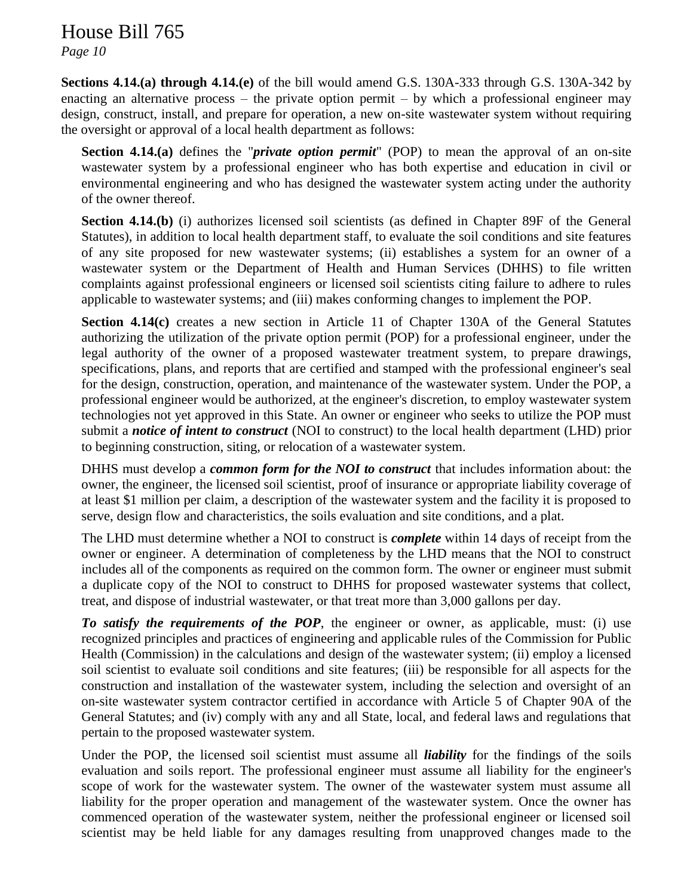*Page 10*

**Sections 4.14.(a) through 4.14.(e)** of the bill would amend G.S. 130A-333 through G.S. 130A-342 by enacting an alternative process – the private option permit – by which a professional engineer may design, construct, install, and prepare for operation, a new on-site wastewater system without requiring the oversight or approval of a local health department as follows:

**Section 4.14.(a)** defines the "*private option permit*" (POP) to mean the approval of an on-site wastewater system by a professional engineer who has both expertise and education in civil or environmental engineering and who has designed the wastewater system acting under the authority of the owner thereof.

**Section 4.14.(b)** (i) authorizes licensed soil scientists (as defined in Chapter 89F of the General Statutes), in addition to local health department staff, to evaluate the soil conditions and site features of any site proposed for new wastewater systems; (ii) establishes a system for an owner of a wastewater system or the Department of Health and Human Services (DHHS) to file written complaints against professional engineers or licensed soil scientists citing failure to adhere to rules applicable to wastewater systems; and (iii) makes conforming changes to implement the POP.

**Section 4.14(c)** creates a new section in Article 11 of Chapter 130A of the General Statutes authorizing the utilization of the private option permit (POP) for a professional engineer, under the legal authority of the owner of a proposed wastewater treatment system, to prepare drawings, specifications, plans, and reports that are certified and stamped with the professional engineer's seal for the design, construction, operation, and maintenance of the wastewater system. Under the POP, a professional engineer would be authorized, at the engineer's discretion, to employ wastewater system technologies not yet approved in this State. An owner or engineer who seeks to utilize the POP must submit a *notice of intent to construct* (NOI to construct) to the local health department (LHD) prior to beginning construction, siting, or relocation of a wastewater system.

DHHS must develop a *common form for the NOI to construct* that includes information about: the owner, the engineer, the licensed soil scientist, proof of insurance or appropriate liability coverage of at least \$1 million per claim, a description of the wastewater system and the facility it is proposed to serve, design flow and characteristics, the soils evaluation and site conditions, and a plat.

The LHD must determine whether a NOI to construct is *complete* within 14 days of receipt from the owner or engineer. A determination of completeness by the LHD means that the NOI to construct includes all of the components as required on the common form. The owner or engineer must submit a duplicate copy of the NOI to construct to DHHS for proposed wastewater systems that collect, treat, and dispose of industrial wastewater, or that treat more than 3,000 gallons per day.

*To satisfy the requirements of the POP*, the engineer or owner, as applicable, must: (i) use recognized principles and practices of engineering and applicable rules of the Commission for Public Health (Commission) in the calculations and design of the wastewater system; (ii) employ a licensed soil scientist to evaluate soil conditions and site features; (iii) be responsible for all aspects for the construction and installation of the wastewater system, including the selection and oversight of an on-site wastewater system contractor certified in accordance with Article 5 of Chapter 90A of the General Statutes; and (iv) comply with any and all State, local, and federal laws and regulations that pertain to the proposed wastewater system.

Under the POP, the licensed soil scientist must assume all *liability* for the findings of the soils evaluation and soils report. The professional engineer must assume all liability for the engineer's scope of work for the wastewater system. The owner of the wastewater system must assume all liability for the proper operation and management of the wastewater system. Once the owner has commenced operation of the wastewater system, neither the professional engineer or licensed soil scientist may be held liable for any damages resulting from unapproved changes made to the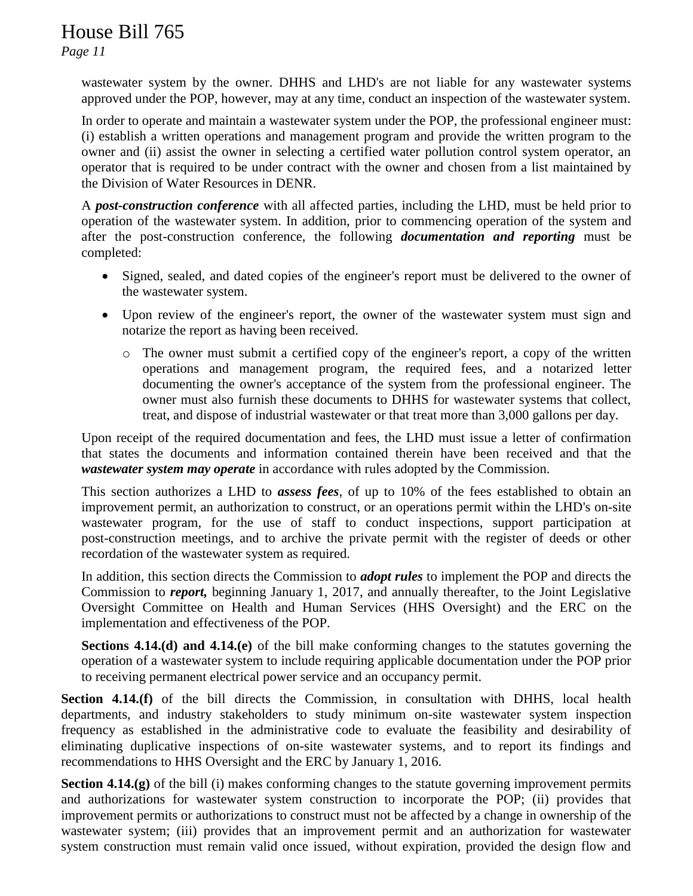*Page 11*

wastewater system by the owner. DHHS and LHD's are not liable for any wastewater systems approved under the POP, however, may at any time, conduct an inspection of the wastewater system.

In order to operate and maintain a wastewater system under the POP, the professional engineer must: (i) establish a written operations and management program and provide the written program to the owner and (ii) assist the owner in selecting a certified water pollution control system operator, an operator that is required to be under contract with the owner and chosen from a list maintained by the Division of Water Resources in DENR.

A *post-construction conference* with all affected parties, including the LHD, must be held prior to operation of the wastewater system. In addition, prior to commencing operation of the system and after the post-construction conference, the following *documentation and reporting* must be completed:

- Signed, sealed, and dated copies of the engineer's report must be delivered to the owner of the wastewater system.
- Upon review of the engineer's report, the owner of the wastewater system must sign and notarize the report as having been received.
	- o The owner must submit a certified copy of the engineer's report, a copy of the written operations and management program, the required fees, and a notarized letter documenting the owner's acceptance of the system from the professional engineer. The owner must also furnish these documents to DHHS for wastewater systems that collect, treat, and dispose of industrial wastewater or that treat more than 3,000 gallons per day.

Upon receipt of the required documentation and fees, the LHD must issue a letter of confirmation that states the documents and information contained therein have been received and that the *wastewater system may operate* in accordance with rules adopted by the Commission.

This section authorizes a LHD to *assess fees*, of up to 10% of the fees established to obtain an improvement permit, an authorization to construct, or an operations permit within the LHD's on-site wastewater program, for the use of staff to conduct inspections, support participation at post-construction meetings, and to archive the private permit with the register of deeds or other recordation of the wastewater system as required.

In addition, this section directs the Commission to *adopt rules* to implement the POP and directs the Commission to *report,* beginning January 1, 2017, and annually thereafter, to the Joint Legislative Oversight Committee on Health and Human Services (HHS Oversight) and the ERC on the implementation and effectiveness of the POP.

**Sections 4.14.(d) and 4.14.(e)** of the bill make conforming changes to the statutes governing the operation of a wastewater system to include requiring applicable documentation under the POP prior to receiving permanent electrical power service and an occupancy permit.

**Section 4.14.(f)** of the bill directs the Commission, in consultation with DHHS, local health departments, and industry stakeholders to study minimum on-site wastewater system inspection frequency as established in the administrative code to evaluate the feasibility and desirability of eliminating duplicative inspections of on-site wastewater systems, and to report its findings and recommendations to HHS Oversight and the ERC by January 1, 2016.

**Section 4.14.(g)** of the bill (i) makes conforming changes to the statute governing improvement permits and authorizations for wastewater system construction to incorporate the POP; (ii) provides that improvement permits or authorizations to construct must not be affected by a change in ownership of the wastewater system; (iii) provides that an improvement permit and an authorization for wastewater system construction must remain valid once issued, without expiration, provided the design flow and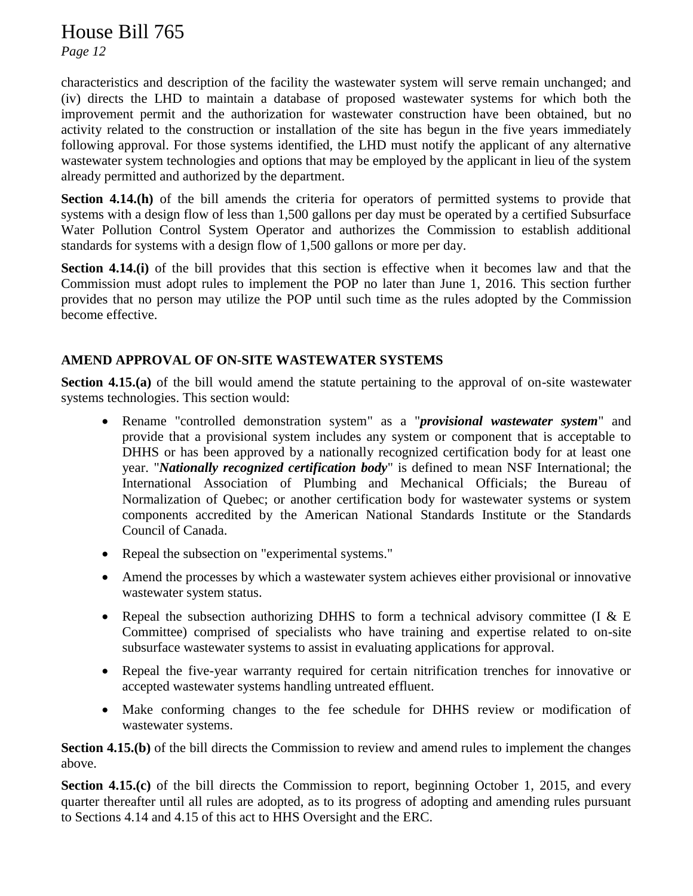*Page 12*

characteristics and description of the facility the wastewater system will serve remain unchanged; and (iv) directs the LHD to maintain a database of proposed wastewater systems for which both the improvement permit and the authorization for wastewater construction have been obtained, but no activity related to the construction or installation of the site has begun in the five years immediately following approval. For those systems identified, the LHD must notify the applicant of any alternative wastewater system technologies and options that may be employed by the applicant in lieu of the system already permitted and authorized by the department.

**Section 4.14.(h)** of the bill amends the criteria for operators of permitted systems to provide that systems with a design flow of less than 1,500 gallons per day must be operated by a certified Subsurface Water Pollution Control System Operator and authorizes the Commission to establish additional standards for systems with a design flow of 1,500 gallons or more per day.

**Section 4.14.(i)** of the bill provides that this section is effective when it becomes law and that the Commission must adopt rules to implement the POP no later than June 1, 2016. This section further provides that no person may utilize the POP until such time as the rules adopted by the Commission become effective.

# **AMEND APPROVAL OF ON-SITE WASTEWATER SYSTEMS**

**Section 4.15.(a)** of the bill would amend the statute pertaining to the approval of on-site wastewater systems technologies. This section would:

- Rename "controlled demonstration system" as a "*provisional wastewater system*" and provide that a provisional system includes any system or component that is acceptable to DHHS or has been approved by a nationally recognized certification body for at least one year. "*Nationally recognized certification body*" is defined to mean NSF International; the International Association of Plumbing and Mechanical Officials; the Bureau of Normalization of Quebec; or another certification body for wastewater systems or system components accredited by the American National Standards Institute or the Standards Council of Canada.
- Repeal the subsection on "experimental systems."
- Amend the processes by which a wastewater system achieves either provisional or innovative wastewater system status.
- Repeal the subsection authorizing DHHS to form a technical advisory committee (I  $&E$ Committee) comprised of specialists who have training and expertise related to on-site subsurface wastewater systems to assist in evaluating applications for approval.
- Repeal the five-year warranty required for certain nitrification trenches for innovative or accepted wastewater systems handling untreated effluent.
- Make conforming changes to the fee schedule for DHHS review or modification of wastewater systems.

**Section 4.15.(b)** of the bill directs the Commission to review and amend rules to implement the changes above.

**Section 4.15.(c)** of the bill directs the Commission to report, beginning October 1, 2015, and every quarter thereafter until all rules are adopted, as to its progress of adopting and amending rules pursuant to Sections 4.14 and 4.15 of this act to HHS Oversight and the ERC.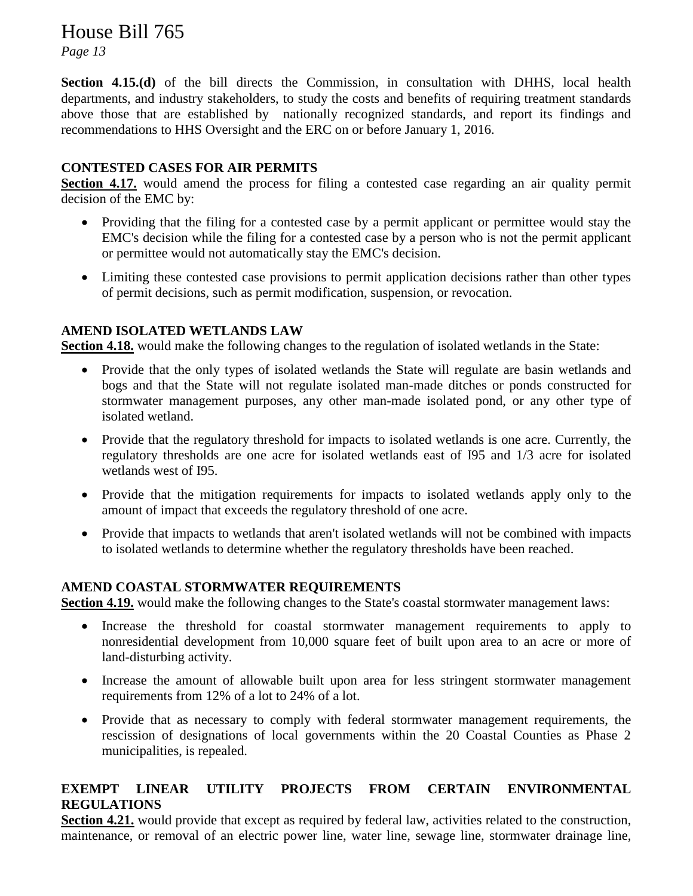*Page 13*

**Section 4.15.(d)** of the bill directs the Commission, in consultation with DHHS, local health departments, and industry stakeholders, to study the costs and benefits of requiring treatment standards above those that are established by nationally recognized standards, and report its findings and recommendations to HHS Oversight and the ERC on or before January 1, 2016.

## **CONTESTED CASES FOR AIR PERMITS**

**Section 4.17.** would amend the process for filing a contested case regarding an air quality permit decision of the EMC by:

- Providing that the filing for a contested case by a permit applicant or permittee would stay the EMC's decision while the filing for a contested case by a person who is not the permit applicant or permittee would not automatically stay the EMC's decision.
- Limiting these contested case provisions to permit application decisions rather than other types of permit decisions, such as permit modification, suspension, or revocation.

#### **AMEND ISOLATED WETLANDS LAW**

**Section 4.18.** would make the following changes to the regulation of isolated wetlands in the State:

- Provide that the only types of isolated wetlands the State will regulate are basin wetlands and bogs and that the State will not regulate isolated man-made ditches or ponds constructed for stormwater management purposes, any other man-made isolated pond, or any other type of isolated wetland.
- Provide that the regulatory threshold for impacts to isolated wetlands is one acre. Currently, the regulatory thresholds are one acre for isolated wetlands east of I95 and 1/3 acre for isolated wetlands west of I95.
- Provide that the mitigation requirements for impacts to isolated wetlands apply only to the amount of impact that exceeds the regulatory threshold of one acre.
- Provide that impacts to wetlands that aren't isolated wetlands will not be combined with impacts to isolated wetlands to determine whether the regulatory thresholds have been reached.

#### **AMEND COASTAL STORMWATER REQUIREMENTS**

**Section 4.19.** would make the following changes to the State's coastal stormwater management laws:

- Increase the threshold for coastal stormwater management requirements to apply to nonresidential development from 10,000 square feet of built upon area to an acre or more of land-disturbing activity.
- Increase the amount of allowable built upon area for less stringent stormwater management requirements from 12% of a lot to 24% of a lot.
- Provide that as necessary to comply with federal stormwater management requirements, the rescission of designations of local governments within the 20 Coastal Counties as Phase 2 municipalities, is repealed.

## **EXEMPT LINEAR UTILITY PROJECTS FROM CERTAIN ENVIRONMENTAL REGULATIONS**

**Section 4.21.** would provide that except as required by federal law, activities related to the construction, maintenance, or removal of an electric power line, water line, sewage line, stormwater drainage line,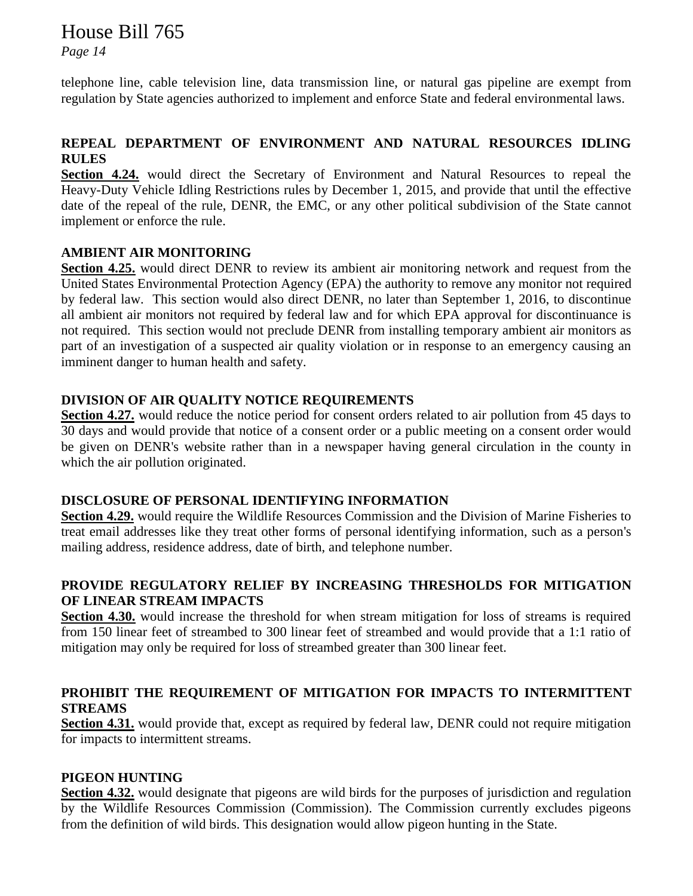*Page 14*

telephone line, cable television line, data transmission line, or natural gas pipeline are exempt from regulation by State agencies authorized to implement and enforce State and federal environmental laws.

## **REPEAL DEPARTMENT OF ENVIRONMENT AND NATURAL RESOURCES IDLING RULES**

**Section 4.24.** would direct the Secretary of Environment and Natural Resources to repeal the Heavy-Duty Vehicle Idling Restrictions rules by December 1, 2015, and provide that until the effective date of the repeal of the rule, DENR, the EMC, or any other political subdivision of the State cannot implement or enforce the rule.

#### **AMBIENT AIR MONITORING**

**Section 4.25.** would direct DENR to review its ambient air monitoring network and request from the United States Environmental Protection Agency (EPA) the authority to remove any monitor not required by federal law. This section would also direct DENR, no later than September 1, 2016, to discontinue all ambient air monitors not required by federal law and for which EPA approval for discontinuance is not required. This section would not preclude DENR from installing temporary ambient air monitors as part of an investigation of a suspected air quality violation or in response to an emergency causing an imminent danger to human health and safety.

#### **DIVISION OF AIR QUALITY NOTICE REQUIREMENTS**

**Section 4.27.** would reduce the notice period for consent orders related to air pollution from 45 days to 30 days and would provide that notice of a consent order or a public meeting on a consent order would be given on DENR's website rather than in a newspaper having general circulation in the county in which the air pollution originated.

#### **DISCLOSURE OF PERSONAL IDENTIFYING INFORMATION**

**Section 4.29.** would require the Wildlife Resources Commission and the Division of Marine Fisheries to treat email addresses like they treat other forms of personal identifying information, such as a person's mailing address, residence address, date of birth, and telephone number.

# **PROVIDE REGULATORY RELIEF BY INCREASING THRESHOLDS FOR MITIGATION OF LINEAR STREAM IMPACTS**

**Section 4.30.** would increase the threshold for when stream mitigation for loss of streams is required from 150 linear feet of streambed to 300 linear feet of streambed and would provide that a 1:1 ratio of mitigation may only be required for loss of streambed greater than 300 linear feet.

## **PROHIBIT THE REQUIREMENT OF MITIGATION FOR IMPACTS TO INTERMITTENT STREAMS**

**Section 4.31.** would provide that, except as required by federal law, DENR could not require mitigation for impacts to intermittent streams.

#### **PIGEON HUNTING**

**Section 4.32.** would designate that pigeons are wild birds for the purposes of jurisdiction and regulation by the Wildlife Resources Commission (Commission). The Commission currently excludes pigeons from the definition of wild birds. This designation would allow pigeon hunting in the State.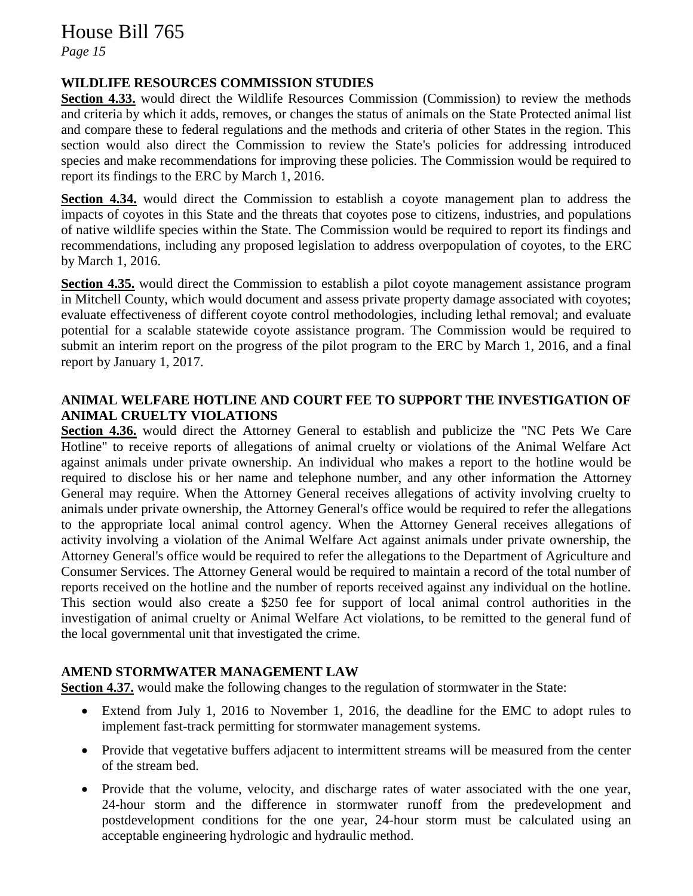*Page 15*

### **WILDLIFE RESOURCES COMMISSION STUDIES**

Section 4.33. would direct the Wildlife Resources Commission (Commission) to review the methods and criteria by which it adds, removes, or changes the status of animals on the State Protected animal list and compare these to federal regulations and the methods and criteria of other States in the region. This section would also direct the Commission to review the State's policies for addressing introduced species and make recommendations for improving these policies. The Commission would be required to report its findings to the ERC by March 1, 2016.

**Section 4.34.** would direct the Commission to establish a coyote management plan to address the impacts of coyotes in this State and the threats that coyotes pose to citizens, industries, and populations of native wildlife species within the State. The Commission would be required to report its findings and recommendations, including any proposed legislation to address overpopulation of coyotes, to the ERC by March 1, 2016.

**Section 4.35.** would direct the Commission to establish a pilot coyote management assistance program in Mitchell County, which would document and assess private property damage associated with coyotes; evaluate effectiveness of different coyote control methodologies, including lethal removal; and evaluate potential for a scalable statewide coyote assistance program. The Commission would be required to submit an interim report on the progress of the pilot program to the ERC by March 1, 2016, and a final report by January 1, 2017.

#### **ANIMAL WELFARE HOTLINE AND COURT FEE TO SUPPORT THE INVESTIGATION OF ANIMAL CRUELTY VIOLATIONS**

**Section 4.36.** would direct the Attorney General to establish and publicize the "NC Pets We Care Hotline" to receive reports of allegations of animal cruelty or violations of the Animal Welfare Act against animals under private ownership. An individual who makes a report to the hotline would be required to disclose his or her name and telephone number, and any other information the Attorney General may require. When the Attorney General receives allegations of activity involving cruelty to animals under private ownership, the Attorney General's office would be required to refer the allegations to the appropriate local animal control agency. When the Attorney General receives allegations of activity involving a violation of the Animal Welfare Act against animals under private ownership, the Attorney General's office would be required to refer the allegations to the Department of Agriculture and Consumer Services. The Attorney General would be required to maintain a record of the total number of reports received on the hotline and the number of reports received against any individual on the hotline. This section would also create a \$250 fee for support of local animal control authorities in the investigation of animal cruelty or Animal Welfare Act violations, to be remitted to the general fund of the local governmental unit that investigated the crime.

#### **AMEND STORMWATER MANAGEMENT LAW**

**Section 4.37.** would make the following changes to the regulation of stormwater in the State:

- Extend from July 1, 2016 to November 1, 2016, the deadline for the EMC to adopt rules to implement fast-track permitting for stormwater management systems.
- Provide that vegetative buffers adjacent to intermittent streams will be measured from the center of the stream bed.
- Provide that the volume, velocity, and discharge rates of water associated with the one year, 24-hour storm and the difference in stormwater runoff from the predevelopment and postdevelopment conditions for the one year, 24-hour storm must be calculated using an acceptable engineering hydrologic and hydraulic method.